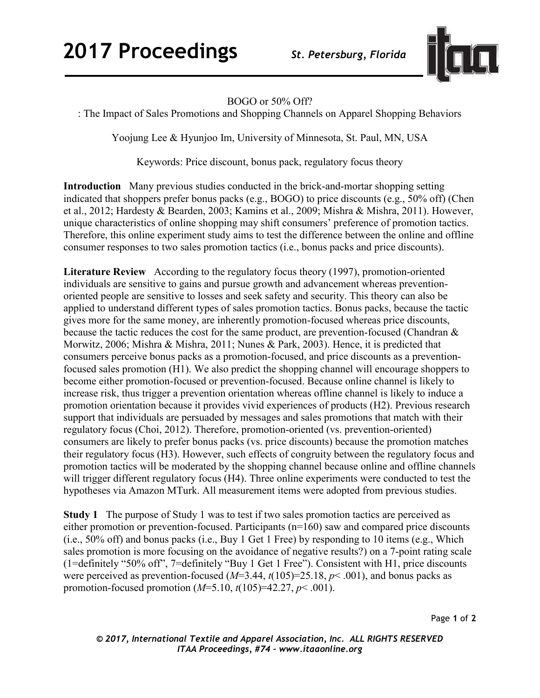

## BOGO or 50% Off?

: The Impact of Sales Promotions and Shopping Channels on Apparel Shopping Behaviors

Yoojung Lee & Hyunjoo Im, University of Minnesota, St. Paul, MN, USA

Keywords: Price discount, bonus pack, regulatory focus theory

**Introduction** Many previous studies conducted in the brick-and-mortar shopping setting indicated that shoppers prefer bonus packs (e.g., BOGO) to price discounts (e.g., 50% off) (Chen et al., 2012; Hardesty & Bearden, 2003; Kamins et al., 2009; Mishra & Mishra, 2011). However, unique characteristics of online shopping may shift consumers' preference of promotion tactics. Therefore, this online experiment study aims to test the difference between the online and offline consumer responses to two sales promotion tactics (i.e., bonus packs and price discounts).

**Literature Review** According to the regulatory focus theory (1997), promotion-oriented individuals are sensitive to gains and pursue growth and advancement whereas preventionoriented people are sensitive to losses and seek safety and security. This theory can also be applied to understand different types of sales promotion tactics. Bonus packs, because the tactic gives more for the same money, are inherently promotion-focused whereas price discounts, because the tactic reduces the cost for the same product, are prevention-focused (Chandran & Morwitz, 2006; Mishra & Mishra, 2011; Nunes & Park, 2003). Hence, it is predicted that consumers perceive bonus packs as a promotion-focused, and price discounts as a preventionfocused sales promotion (H1). We also predict the shopping channel will encourage shoppers to become either promotion-focused or prevention-focused. Because online channel is likely to increase risk, thus trigger a prevention orientation whereas offline channel is likely to induce a promotion orientation because it provides vivid experiences of products (H2). Previous research support that individuals are persuaded by messages and sales promotions that match with their regulatory focus (Choi, 2012). Therefore, promotion-oriented (vs. prevention-oriented) consumers are likely to prefer bonus packs (vs. price discounts) because the promotion matches their regulatory focus (H3). However, such effects of congruity between the regulatory focus and promotion tactics will be moderated by the shopping channel because online and offline channels will trigger different regulatory focus (H4). Three online experiments were conducted to test the hypotheses via Amazon MTurk. All measurement items were adopted from previous studies.

**Study 1** The purpose of Study 1 was to test if two sales promotion tactics are perceived as either promotion or prevention-focused. Participants (n=160) saw and compared price discounts (i.e., 50% off) and bonus packs (i.e., Buy 1 Get 1 Free) by responding to 10 items (e.g., Which sales promotion is more focusing on the avoidance of negative results?) on a 7-point rating scale (1=definitely "50% off", 7=definitely "Buy 1 Get 1 Free"). Consistent with H1, price discounts were perceived as prevention-focused (*M*=3.44, *t*(105)=25.18, *p*< .001), and bonus packs as promotion-focused promotion (*M*=5.10, *t*(105)=42.27, *p*< .001).

Page **1** of **2** 

*© 2017, International Textile and Apparel Association, Inc. ALL RIGHTS RESERVED ITAA Proceedings, #74 – www.itaaonline.org*